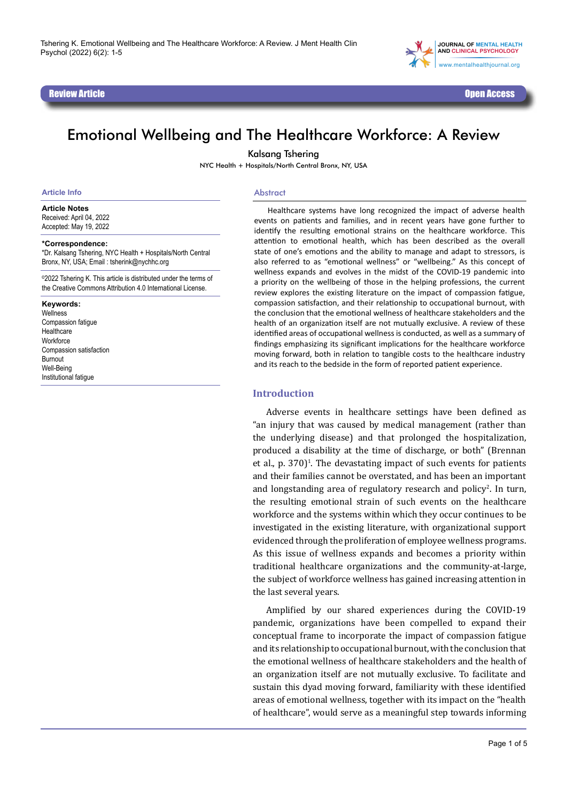Review Article Open Access (New York 2008) (New York 2008) (New York 2008) (New York 2008) (New York 2008) (Ne



# Emotional Wellbeing and The Healthcare Workforce: A Review

Kalsang Tshering

NYC Health + Hospitals/North Central Bronx, NY, USA

#### **Article Info**

**Article Notes**

Received: April 04, 2022 Accepted: May 19, 2022

#### **\*Correspondence:**

\*Dr. Kalsang Tshering, NYC Health + Hospitals/North Central Bronx, NY, USA; Email : tsherink@nychhc.org

©2022 Tshering K. This article is distributed under the terms of the Creative Commons Attribution 4.0 International License.

#### **Keywords:**

**Wellness** Compassion fatigue **Healthcare Workforce** Compassion satisfaction Burnout Well-Being Institutional fatigue

#### Abstract

Healthcare systems have long recognized the impact of adverse health events on patients and families, and in recent years have gone further to identify the resulting emotional strains on the healthcare workforce. This attention to emotional health, which has been described as the overall state of one's emotions and the ability to manage and adapt to stressors, is also referred to as "emotional wellness" or "wellbeing." As this concept of wellness expands and evolves in the midst of the COVID-19 pandemic into a priority on the wellbeing of those in the helping professions, the current review explores the existing literature on the impact of compassion fatigue, compassion satisfaction, and their relationship to occupational burnout, with the conclusion that the emotional wellness of healthcare stakeholders and the health of an organization itself are not mutually exclusive. A review of these identified areas of occupational wellness is conducted, as well as a summary of findings emphasizing its significant implications for the healthcare workforce moving forward, both in relation to tangible costs to the healthcare industry and its reach to the bedside in the form of reported patient experience.

#### **Introduction**

Adverse events in healthcare settings have been defined as "an injury that was caused by medical management (rather than the underlying disease) and that prolonged the hospitalization, produced a disability at the time of discharge, or both" (Brennan et al.,  $p. 370$ <sup> $1$ </sup>. The devastating impact of such events for patients and their families cannot be overstated, and has been an important and longstanding area of regulatory research and policy<sup>2</sup>. In turn, the resulting emotional strain of such events on the healthcare workforce and the systems within which they occur continues to be investigated in the existing literature, with organizational support evidenced through the proliferation of employee wellness programs. As this issue of wellness expands and becomes a priority within traditional healthcare organizations and the community-at-large, the subject of workforce wellness has gained increasing attention in the last several years.

Amplified by our shared experiences during the COVID-19 pandemic, organizations have been compelled to expand their conceptual frame to incorporate the impact of compassion fatigue and its relationship to occupational burnout, with the conclusion that the emotional wellness of healthcare stakeholders and the health of an organization itself are not mutually exclusive. To facilitate and sustain this dyad moving forward, familiarity with these identified areas of emotional wellness, together with its impact on the "health of healthcare", would serve as a meaningful step towards informing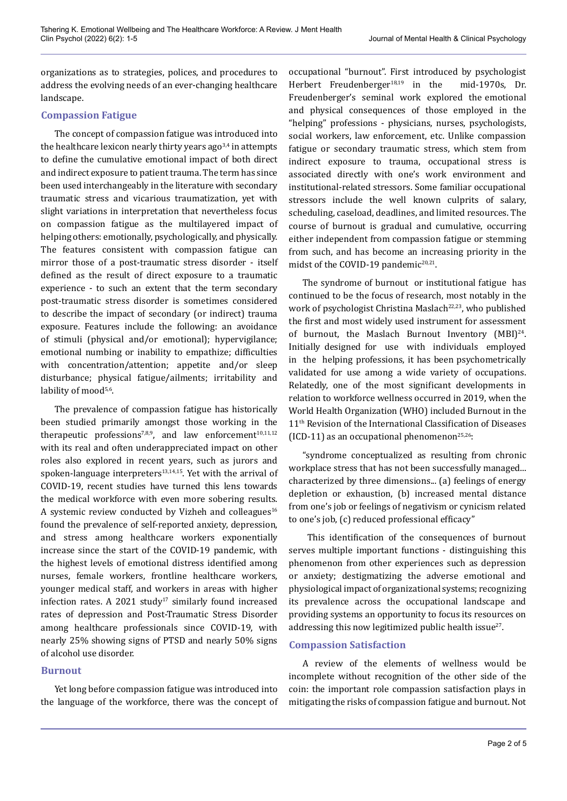organizations as to strategies, polices, and procedures to address the evolving needs of an ever-changing healthcare landscape.

### **Compassion Fatigue**

The concept of compassion fatigue was introduced into the healthcare lexicon nearly thirty years ago  $3,4$  in attempts to define the cumulative emotional impact of both direct and indirect exposure to patient trauma. The term has since been used interchangeably in the literature with secondary traumatic stress and vicarious traumatization, yet with slight variations in interpretation that nevertheless focus on compassion fatigue as the multilayered impact of helping others: emotionally, psychologically, and physically. The features consistent with compassion fatigue can mirror those of a post-traumatic stress disorder - itself defined as the result of direct exposure to a traumatic experience - to such an extent that the term secondary post-traumatic stress disorder is sometimes considered to describe the impact of secondary (or indirect) trauma exposure. Features include the following: an avoidance of stimuli (physical and/or emotional); hypervigilance; emotional numbing or inability to empathize; difficulties with concentration/attention; appetite and/or sleep disturbance; physical fatigue/ailments; irritability and lability of mood<sup>5,6</sup>.

The prevalence of compassion fatigue has historically been studied primarily amongst those working in the therapeutic professions<sup>7,8,9</sup>, and law enforcement<sup>10,11,12</sup> with its real and often underappreciated impact on other roles also explored in recent years, such as jurors and spoken-language interpreters $13,14,15$ . Yet with the arrival of COVID-19, recent studies have turned this lens towards the medical workforce with even more sobering results. A systemic review conducted by Vizheh and colleagues<sup>16</sup> found the prevalence of self-reported anxiety, depression, and stress among healthcare workers exponentially increase since the start of the COVID-19 pandemic, with the highest levels of emotional distress identified among nurses, female workers, frontline healthcare workers, younger medical staff, and workers in areas with higher infection rates. A 2021 study<sup>17</sup> similarly found increased rates of depression and Post-Traumatic Stress Disorder among healthcare professionals since COVID-19, with nearly 25% showing signs of PTSD and nearly 50% signs of alcohol use disorder.

# **Burnout**

Yet long before compassion fatigue was introduced into the language of the workforce, there was the concept of occupational "burnout". First introduced by psychologist Herbert Freudenberger<sup>18,19</sup> in the mid-1970s, Dr. Freudenberger's seminal work explored the emotional and physical consequences of those employed in the "helping" professions - physicians, nurses, psychologists, social workers, law enforcement, etc. Unlike compassion fatigue or secondary traumatic stress, which stem from indirect exposure to trauma, occupational stress is associated directly with one's work environment and institutional-related stressors. Some familiar occupational stressors include the well known culprits of salary, scheduling, caseload, deadlines, and limited resources. The course of burnout is gradual and cumulative, occurring either independent from compassion fatigue or stemming from such, and has become an increasing priority in the midst of the COVID-19 pandemic<sup>20,21</sup>.

The syndrome of burnout or institutional fatigue has continued to be the focus of research, most notably in the work of psychologist Christina Maslach<sup>22,23</sup>, who published the first and most widely used instrument for assessment of burnout, the Maslach Burnout Inventory (MBI)<sup>24</sup>. Initially designed for use with individuals employed in the helping professions, it has been psychometrically validated for use among a wide variety of occupations. Relatedly, one of the most significant developments in relation to workforce wellness occurred in 2019, when the World Health Organization (WHO) included Burnout in the 11<sup>th</sup> Revision of the International Classification of Diseases (ICD-11) as an occupational phenomenon<sup>25,26</sup>:

"syndrome conceptualized as resulting from chronic workplace stress that has not been successfully managed... characterized by three dimensions... (a) feelings of energy depletion or exhaustion, (b) increased mental distance from one's job or feelings of negativism or cynicism related to one's job, (c) reduced professional efficacy"

 This identification of the consequences of burnout serves multiple important functions - distinguishing this phenomenon from other experiences such as depression or anxiety; destigmatizing the adverse emotional and physiological impact of organizational systems; recognizing its prevalence across the occupational landscape and providing systems an opportunity to focus its resources on addressing this now legitimized public health issue<sup>27</sup>.

# **Compassion Satisfaction**

A review of the elements of wellness would be incomplete without recognition of the other side of the coin: the important role compassion satisfaction plays in mitigating the risks of compassion fatigue and burnout. Not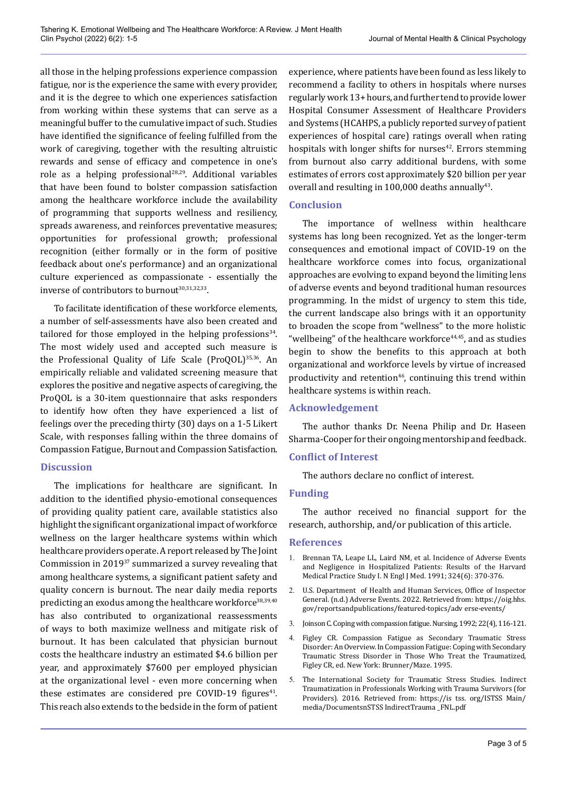all those in the helping professions experience compassion fatigue, nor is the experience the same with every provider, and it is the degree to which one experiences satisfaction from working within these systems that can serve as a meaningful buffer to the cumulative impact of such. Studies have identified the significance of feeling fulfilled from the work of caregiving, together with the resulting altruistic rewards and sense of efficacy and competence in one's role as a helping professional28,29. Additional variables that have been found to bolster compassion satisfaction among the healthcare workforce include the availability of programming that supports wellness and resiliency, spreads awareness, and reinforces preventative measures; opportunities for professional growth; professional recognition (either formally or in the form of positive feedback about one's performance) and an organizational culture experienced as compassionate - essentially the inverse of contributors to burnout<sup>30,31,32,33</sup>.

To facilitate identification of these workforce elements, a number of self-assessments have also been created and tailored for those employed in the helping professions $34$ . The most widely used and accepted such measure is the Professional Quality of Life Scale (ProQOL)35,36. An empirically reliable and validated screening measure that explores the positive and negative aspects of caregiving, the ProQOL is a 30-item questionnaire that asks responders to identify how often they have experienced a list of feelings over the preceding thirty (30) days on a 1-5 Likert Scale, with responses falling within the three domains of Compassion Fatigue, Burnout and Compassion Satisfaction.

# **Discussion**

The implications for healthcare are significant. In addition to the identified physio-emotional consequences of providing quality patient care, available statistics also highlight the significant organizational impact of workforce wellness on the larger healthcare systems within which healthcare providers operate. A report released by The Joint Commission in 201937 summarized a survey revealing that among healthcare systems, a significant patient safety and quality concern is burnout. The near daily media reports predicting an exodus among the healthcare workforce<sup>38,39,40</sup> has also contributed to organizational reassessments of ways to both maximize wellness and mitigate risk of burnout. It has been calculated that physician burnout costs the healthcare industry an estimated \$4.6 billion per year, and approximately \$7600 per employed physician at the organizational level - even more concerning when these estimates are considered pre COVID-19 figures $41$ . This reach also extends to the bedside in the form of patient experience, where patients have been found as less likely to recommend a facility to others in hospitals where nurses regularly work 13+ hours, and further tend to provide lower Hospital Consumer Assessment of Healthcare Providers and Systems (HCAHPS, a publicly reported survey of patient experiences of hospital care) ratings overall when rating hospitals with longer shifts for nurses $42$ . Errors stemming from burnout also carry additional burdens, with some estimates of errors cost approximately \$20 billion per year overall and resulting in  $100,000$  deaths annually<sup>43</sup>.

### **Conclusion**

The importance of wellness within healthcare systems has long been recognized. Yet as the longer-term consequences and emotional impact of COVID-19 on the healthcare workforce comes into focus, organizational approaches are evolving to expand beyond the limiting lens of adverse events and beyond traditional human resources programming. In the midst of urgency to stem this tide, the current landscape also brings with it an opportunity to broaden the scope from "wellness" to the more holistic "wellbeing" of the healthcare workforce $44,45$ , and as studies begin to show the benefits to this approach at both organizational and workforce levels by virtue of increased productivity and retention<sup>46</sup>, continuing this trend within healthcare systems is within reach.

# **Acknowledgement**

The author thanks Dr. Neena Philip and Dr. Haseen Sharma-Cooper for their ongoing mentorship and feedback.

# **Conflict of Interest**

The authors declare no conflict of interest.

### **Funding**

The author received no financial support for the research, authorship, and/or publication of this article.

#### **References**

- 1. Brennan TA, Leape LL, Laird NM, et al. Incidence of Adverse Events and Negligence in Hospitalized Patients: Results of the Harvard Medical Practice Study I. N Engl J Med. 1991; 324(6): 370-376.
- 2. U.S. Department of Health and Human Services, Office of Inspector General. (n.d.) Adverse Events. 2022. Retrieved from: https://oig.hhs. gov/reportsandpublications/featured-topics/adv erse-events/
- 3. Joinson C. Coping with compassion fatigue. Nursing, 1992; 22(4), 116-121.
- 4. Figley CR. Compassion Fatigue as Secondary Traumatic Stress Disorder: An Overview. In Compassion Fatigue: Coping with Secondary Traumatic Stress Disorder in Those Who Treat the Traumatized, Figley CR, ed. New York: Brunner/Maze. 1995.
- 5. The International Society for Traumatic Stress Studies. Indirect Traumatization in Professionals Working with Trauma Survivors (for Providers). 2016. Retrieved from: https://is tss. org/ISTSS Main/ media/DocumentsnSTSS IndirectTrauma \_FNL.pdf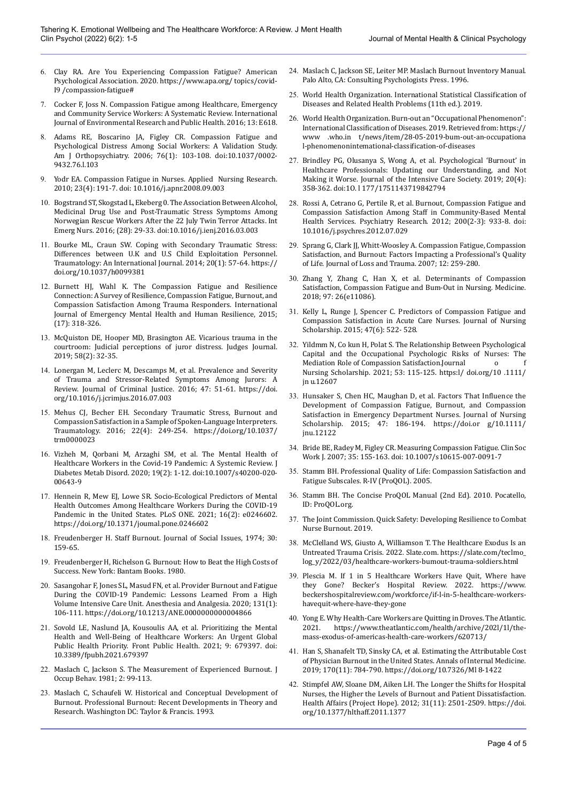- 6. Clay RA. Are You Experiencing Compassion Fatigue? American Psychological Association. 2020. https://[www.apa.org/ topics/covid-](http://www.apa.org/topics/covid-I9/compassion-fatigue)[I9 /compassion-fatigue#](http://www.apa.org/topics/covid-I9/compassion-fatigue)
- 7. Cocker F, Joss N. Compassion Fatigue among Healthcare, Emergency and Community Service Workers: A Systematic Review. International Journal of Environmental Research and Public Health. 2016; 13: E618.
- 8. Adams RE, Boscarino JA, Figley CR. Compassion Fatigue and Psychological Distress Among Social Workers: A Validation Study. Am J Orthopsychiatry. 2006; 76(1): 103-108. doi:10.1037/0002- 9432.76.l.103
- 9. Yodr EA. Compassion Fatigue in Nurses. Applied Nursing Research. 2010; 23(4): 191-7. doi: 10.1016/j.apnr.2008.09.003
- 10. Bogstrand ST, Skogstad L, Ekeberg 0. The Association Between Alcohol, Medicinal Drug Use and Post-Traumatic Stress Symptoms Among Norwegian Rescue Workers After the 22 July Twin Terror Attacks. Int Emerg Nurs. 2016; (28): 29-33. doi:10.1016/j.ienj.2016.03.003
- 11. Bourke ML, Craun SW. Coping with Secondary Traumatic Stress: Differences between U.K and U.S Child Exploitation Personnel. Traumatology: An International Journal. 2014; 20(1): 57-64. https:// doi.org/10.1037/h0099381
- 12. Burnett HJ, Wahl K. The Compassion Fatigue and Resilience Connection: A Survey of Resilience, Compassion Fatigue, Burnout, and Compassion Satisfaction Among Trauma Responders. International Journal of Emergency Mental Health and Human Resilience, 2015; (17): 318-326.
- 13. McQuiston DE, Hooper MD, Brasington AE. Vicarious trauma in the courtroom: Judicial perceptions of juror distress. Judges Journal. 2019; 58(2): 32-35.
- 14. Lonergan M, Leclerc M, Descamps M, et al. Prevalence and Severity of Trauma and Stressor-Related Symptoms Among Jurors: A Review. Journal of Criminal Justice. 2016; 47: 51-61. https://doi. org/10.1016/j.jcrimjus.2016.07.003
- 15. Mehus CJ, Becher EH. Secondary Traumatic Stress, Burnout and Compassion Satisfaction in a Sample of Spoken-Language Interpreters. Traumatology. 2016; 22(4): 249-254. https://doi.org/10.1037/ trm0000023
- 16. Vizheh M, Qorbani M, Arzaghi SM, et al. The Mental Health of Healthcare Workers in the Covid-19 Pandemic: A Systemic Review. J Diabetes Metab Disord. 2020; 19(2): 1-12. doi:10.1007/s40200-020- 00643-9
- 17. Hennein R, Mew EJ, Lowe SR. Socio-Ecological Predictors of Mental Health Outcomes Among Healthcare Workers During the COVID-19 Pandemic in the United States. PLoS ONE. 2021; 16(2): e0246602. https://doi.org/10.1371/joumal.pone.0246602
- 18. Freudenberger H. Staff Burnout. Journal of Social Issues, 1974; 30: 159-65.
- 19. Freudenberger H, Richelson G. Burnout: How to Beat the High Costs of Success. New York: Bantam Books. 1980.
- 20. Sasangohar F, Jones SL, Masud FN, et al. Provider Burnout and Fatigue During the COVID-19 Pandemic: Lessons Learned From a High Volume Intensive Care Unit. Anesthesia and Analgesia. 2020; 131(1): 106-111. https://doi.org/10.1213/ANE.0000000000004866
- 21. Sovold LE, Naslund JA, Kousoulis AA, et al. Prioritizing the Mental Health and Well-Being of Healthcare Workers: An Urgent Global Public Health Priority. Front Public Health. 2021; 9: 679397. doi: 10.3389/fpubh.2021.679397
- 22. Maslach C, Jackson S. The Measurement of Experienced Burnout. J Occup Behav. 1981; 2: 99-113.
- 23. Maslach C, Schaufeli W. Historical and Conceptual Development of Burnout. Professional Burnout: Recent Developments in Theory and Research. Washington DC: Taylor & Francis. 1993.
- 24. Maslach C, Jackson SE, Leiter MP. Maslach Burnout Inventory Manual. Palo Alto, CA: Consulting Psychologists Press. 1996.
- 25. World Health Organization. International Statistical Classification of Diseases and Related Health Problems (11th ed.). 2019.
- 26. World Health Organization. Burn-out an "Occupational Phenomenon": International Classification of Diseases. 2019. Retrieved from: https:// [www .who.in t/news/item/28-05-2019-bum-out-an-occupationa](http://www.who.int/news/item/28-05-2019-bum-out-an-occupational-phenomenon)  [l-phenomenoni](http://www.who.int/news/item/28-05-2019-bum-out-an-occupational-phenomenon)ntemational-classification-of-diseases
- 27. Brindley PG, Olusanya S, Wong A, et al. Psychological 'Burnout' in Healthcare Professionals: Updating our Understanding, and Not Making it Worse. Journal of the Intensive Care Society. 2019; 20(4): 358-362. doi:1O. l 177/1751143719842794
- 28. Rossi A, Cetrano G, Pertile R, et al. Burnout, Compassion Fatigue and Compassion Satisfaction Among Staff in Community-Based Mental Health Services. Psychiatry Research. 2012; 200(2-3): 933-8. doi: 10.1016/j.psychres.2012.07.029
- 29. Sprang G, Clark JJ, Whitt-Woosley A. Compassion Fatigue, Compassion Satisfaction, and Burnout: Factors Impacting a Professional's Quality of Life. Journal of Loss and Trauma. 2007; 12: 259-280.
- 30. Zhang Y, Zhang C, Han X, et al. Determinants of Compassion Satisfaction, Compassion Fatigue and Bum-Out in Nursing. Medicine. 2018; 97: 26(e11086).
- 31. Kelly L, Runge J, Spencer C. Predictors of Compassion Fatigue and Compassion Satisfaction in Acute Care Nurses. Journal of Nursing Scholarship. 2015; 47(6): 522- 528.
- 32. Yildmm N, Co kun H, Polat S. The Relationship Between Psychological Capital and the Occupational Psychologic Risks of Nurses: The Mediation Role of Compassion Satisfaction.Journal o Nursing Scholarship. 2021; 53: 115-125. https:l/ doi.org/10 .1111/ jn u.12607
- 33. Hunsaker S, Chen HC, Maughan D, et al. Factors That Influence the Development of Compassion Fatigue, Burnout, and Compassion Satisfaction in Emergency Department Nurses. Journal of Nursing Scholarship. 2015; 47: 186-194. https://doi.or g/10.1111/ jnu.12122
- 34. Bride BE, Radey M, Figley CR. Measuring Compassion Fatigue. Clin Soc Work J. 2007; 35: 155-163. doi: 10.1007/s10615-007-0091-7
- 35. Stamm BH. Professional Quality of Life: Compassion Satisfaction and Fatigue Subscales. R-IV (ProQOL). 2005.
- 36. Stamm BH. The Concise ProQOL Manual (2nd Ed). 2010. Pocatello, ID: ProQOL.org.
- 37. The Joint Commission. Quick Safety: Developing Resilience to Combat Nurse Burnout. 2019.
- 38. McClelland WS, Giusto A, Williamson T. The Healthcare Exodus Is an Untreated Trauma Crisis. 2022. Slate.com. https://slate.com/teclmo\_ log\_y/2022/03/healthcare-workers-bumout-trauma-soldiers.html
- 39. Plescia M. If 1 in 5 Healthcare Workers Have Quit, Where have they Gone? Becker's Hospital Review. 2022. https:/[/www.](http://www.beckershospitalreview.com/workforce/if-l-in-5-healthcare-workers-have) [beckershospitalreview.com/workforce/if-l-in-5-healthcare-workers](http://www.beckershospitalreview.com/workforce/if-l-in-5-healthcare-workers-have)[haveq](http://www.beckershospitalreview.com/workforce/if-l-in-5-healthcare-workers-have)uit-where-have-they-gone
- 40. Yong E. Why Health-Care Workers are Quitting in Droves. The Atlantic.<br>2021. https://www.theatlantic.com/health/archive/202l/1l/thehttps://[www.theatlantic.com/health/archive/202l/1l/the](http://www.theatlantic.com/health/archive/202l/1l/the-mass-exodus-of-)[mass-exodus-of-a](http://www.theatlantic.com/health/archive/202l/1l/the-mass-exodus-of-)mericas-health-care-workers/620713/
- 41. Han S, Shanafelt TD, Sinsky CA, et al. Estimating the Attributable Cost of Physician Burnout in the United States. Annals of Internal Medicine. 2019; 170(11): 784-790. https://doi.org/10.7326/Ml 8-1422
- 42. Stimpfel AW, Sloane DM, Aiken LH. The Longer the Shifts for Hospital Nurses, the Higher the Levels of Burnout and Patient Dissatisfaction. Health Affairs (Project Hope). 2012; 31(11): 2501-2509. https://doi. org/10.1377/hlthaff.2011.1377